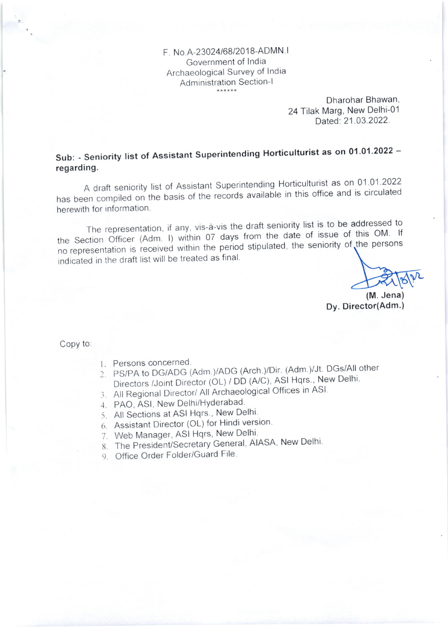F No 4-23024168/2018-ADMN <sup>I</sup> Government of lndia Archaeological Survey of India Administration Section-l

> Dharohar Bhawan, 24 Tilak Marg, New Delhi-01 Dated: 21.03.2022.

Sub: - Seniority list of Assistant Superintending Horticulturist as on 01.01.2022 regarding.

A draft seniority list of Assistant Superintending Horticulturist as on 01.01.2022 has been compiled on the basis of the records available in this office and is circulated herewith for information.

The representation, if any, vis-à-vis the draft seniority list is to be addressed to the Section Officer (Adm. I) within 07 days from the date of issue of this OM. If<br>the section of the period within the period stinulated the seniority of the persons the section officer (Adm. 1) when of any example the seniority of the persons indicated in the draft list will be treated as final.

(M. Jena) Dy. Director(Adm.)

Copy to:

- 1. Persons concerned.
- 1. Persons concerned:<br>2. PS/PA to DG/ADG (Adm.)/ADG (Arch.)/Dir. (Adm.)/Jt. DGs/All other Directors /Joint Director (OL) / DD (A/C), ASI Hqrs., New Delhi.
- 3. All Regional Director/ All Archaeological Offices in ASI.
- PAO, ASl, New Delhi/HYderabad .1.
- 5. All Sections at ASI Hqrs., New Delhi
- Assistant Director (OL) for Hindi version' 6.
- 7. Web Manager, ASI Hqrs, New Delhi
- 8. The President/Secretary General, AIASA, New Delhi
- 9. Office Order Folder/Guard File